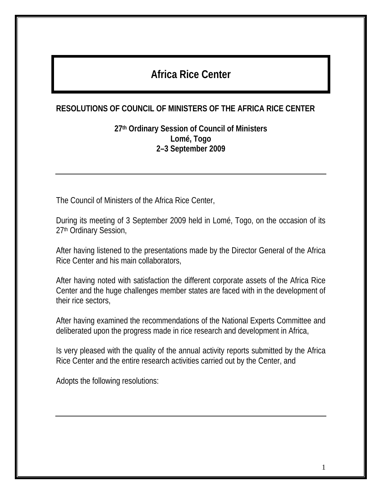# **Africa Rice Center**

#### **RESOLUTIONS OF COUNCIL OF MINISTERS OF THE AFRICA RICE CENTER**

**27th Ordinary Session of Council of Ministers Lomé, Togo 2–3 September 2009** 

The Council of Ministers of the Africa Rice Center,

During its meeting of 3 September 2009 held in Lomé, Togo, on the occasion of its 27th Ordinary Session,

After having listened to the presentations made by the Director General of the Africa Rice Center and his main collaborators,

After having noted with satisfaction the different corporate assets of the Africa Rice Center and the huge challenges member states are faced with in the development of their rice sectors,

After having examined the recommendations of the National Experts Committee and deliberated upon the progress made in rice research and development in Africa,

Is very pleased with the quality of the annual activity reports submitted by the Africa Rice Center and the entire research activities carried out by the Center, and

Adopts the following resolutions: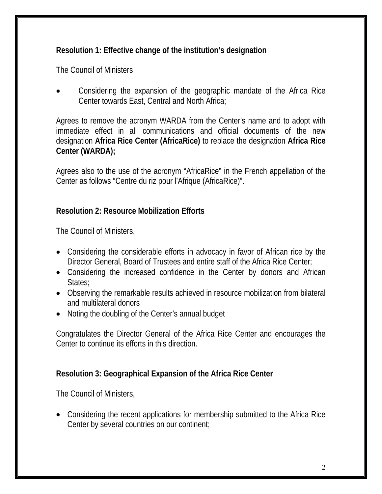#### **Resolution 1: Effective change of the institution's designation**

The Council of Ministers

 Considering the expansion of the geographic mandate of the Africa Rice Center towards East, Central and North Africa;

Agrees to remove the acronym WARDA from the Center's name and to adopt with immediate effect in all communications and official documents of the new designation **Africa Rice Center (AfricaRice)** to replace the designation **Africa Rice Center (WARDA);** 

Agrees also to the use of the acronym "AfricaRice" in the French appellation of the Center as follows "Centre du riz pour l'Afrique (AfricaRice)".

#### **Resolution 2: Resource Mobilization Efforts**

The Council of Ministers,

- Considering the considerable efforts in advocacy in favor of African rice by the Director General, Board of Trustees and entire staff of the Africa Rice Center;
- Considering the increased confidence in the Center by donors and African States:
- Observing the remarkable results achieved in resource mobilization from bilateral and multilateral donors
- Noting the doubling of the Center's annual budget

Congratulates the Director General of the Africa Rice Center and encourages the Center to continue its efforts in this direction.

#### **Resolution 3: Geographical Expansion of the Africa Rice Center**

The Council of Ministers,

 Considering the recent applications for membership submitted to the Africa Rice Center by several countries on our continent;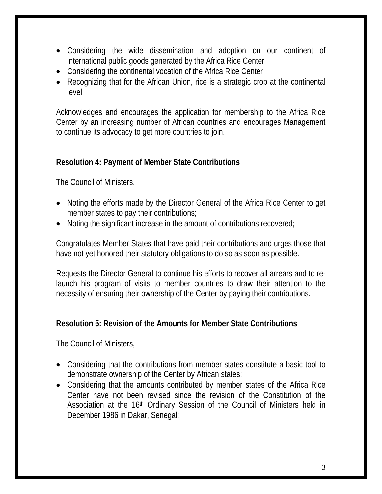- Considering the wide dissemination and adoption on our continent of international public goods generated by the Africa Rice Center
- Considering the continental vocation of the Africa Rice Center
- Recognizing that for the African Union, rice is a strategic crop at the continental level

Acknowledges and encourages the application for membership to the Africa Rice Center by an increasing number of African countries and encourages Management to continue its advocacy to get more countries to join.

# **Resolution 4: Payment of Member State Contributions**

The Council of Ministers,

- Noting the efforts made by the Director General of the Africa Rice Center to get member states to pay their contributions;
- Noting the significant increase in the amount of contributions recovered;

Congratulates Member States that have paid their contributions and urges those that have not yet honored their statutory obligations to do so as soon as possible.

Requests the Director General to continue his efforts to recover all arrears and to relaunch his program of visits to member countries to draw their attention to the necessity of ensuring their ownership of the Center by paying their contributions.

# **Resolution 5: Revision of the Amounts for Member State Contributions**

The Council of Ministers,

- Considering that the contributions from member states constitute a basic tool to demonstrate ownership of the Center by African states;
- Considering that the amounts contributed by member states of the Africa Rice Center have not been revised since the revision of the Constitution of the Association at the 16<sup>th</sup> Ordinary Session of the Council of Ministers held in December 1986 in Dakar, Senegal;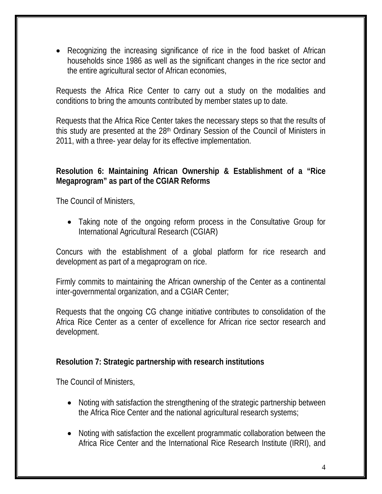Recognizing the increasing significance of rice in the food basket of African households since 1986 as well as the significant changes in the rice sector and the entire agricultural sector of African economies,

Requests the Africa Rice Center to carry out a study on the modalities and conditions to bring the amounts contributed by member states up to date.

Requests that the Africa Rice Center takes the necessary steps so that the results of this study are presented at the 28<sup>th</sup> Ordinary Session of the Council of Ministers in 2011, with a three- year delay for its effective implementation.

#### **Resolution 6: Maintaining African Ownership & Establishment of a "Rice Megaprogram" as part of the CGIAR Reforms**

The Council of Ministers,

 Taking note of the ongoing reform process in the Consultative Group for International Agricultural Research (CGIAR)

Concurs with the establishment of a global platform for rice research and development as part of a megaprogram on rice.

Firmly commits to maintaining the African ownership of the Center as a continental inter-governmental organization, and a CGIAR Center;

Requests that the ongoing CG change initiative contributes to consolidation of the Africa Rice Center as a center of excellence for African rice sector research and development.

#### **Resolution 7: Strategic partnership with research institutions**

The Council of Ministers,

- Noting with satisfaction the strengthening of the strategic partnership between the Africa Rice Center and the national agricultural research systems;
- Noting with satisfaction the excellent programmatic collaboration between the Africa Rice Center and the International Rice Research Institute (IRRI), and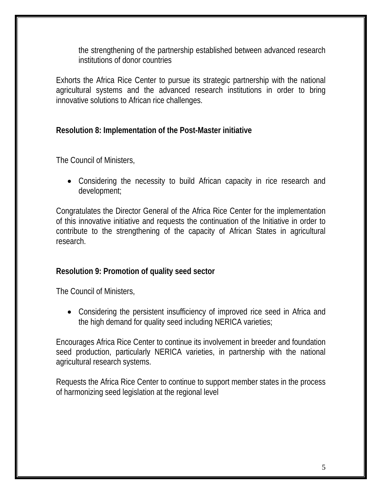the strengthening of the partnership established between advanced research institutions of donor countries

Exhorts the Africa Rice Center to pursue its strategic partnership with the national agricultural systems and the advanced research institutions in order to bring innovative solutions to African rice challenges.

#### **Resolution 8: Implementation of the Post-Master initiative**

The Council of Ministers,

 Considering the necessity to build African capacity in rice research and development;

Congratulates the Director General of the Africa Rice Center for the implementation of this innovative initiative and requests the continuation of the Initiative in order to contribute to the strengthening of the capacity of African States in agricultural research.

#### **Resolution 9: Promotion of quality seed sector**

The Council of Ministers,

 Considering the persistent insufficiency of improved rice seed in Africa and the high demand for quality seed including NERICA varieties;

Encourages Africa Rice Center to continue its involvement in breeder and foundation seed production, particularly NERICA varieties, in partnership with the national agricultural research systems.

Requests the Africa Rice Center to continue to support member states in the process of harmonizing seed legislation at the regional level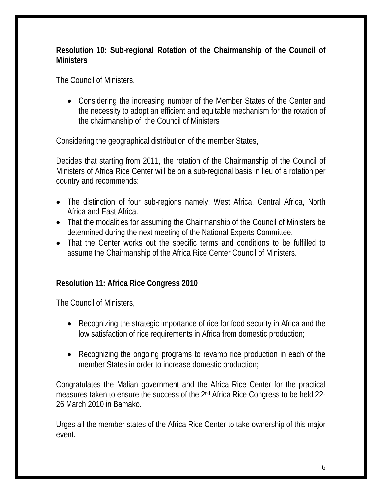#### **Resolution 10: Sub-regional Rotation of the Chairmanship of the Council of Ministers**

The Council of Ministers,

 Considering the increasing number of the Member States of the Center and the necessity to adopt an efficient and equitable mechanism for the rotation of the chairmanship of the Council of Ministers

Considering the geographical distribution of the member States,

Decides that starting from 2011, the rotation of the Chairmanship of the Council of Ministers of Africa Rice Center will be on a sub-regional basis in lieu of a rotation per country and recommends:

- The distinction of four sub-regions namely: West Africa, Central Africa, North Africa and East Africa.
- That the modalities for assuming the Chairmanship of the Council of Ministers be determined during the next meeting of the National Experts Committee.
- That the Center works out the specific terms and conditions to be fulfilled to assume the Chairmanship of the Africa Rice Center Council of Ministers.

# **Resolution 11: Africa Rice Congress 2010**

The Council of Ministers,

- Recognizing the strategic importance of rice for food security in Africa and the low satisfaction of rice requirements in Africa from domestic production;
- Recognizing the ongoing programs to revamp rice production in each of the member States in order to increase domestic production;

Congratulates the Malian government and the Africa Rice Center for the practical measures taken to ensure the success of the 2nd Africa Rice Congress to be held 22- 26 March 2010 in Bamako.

Urges all the member states of the Africa Rice Center to take ownership of this major event.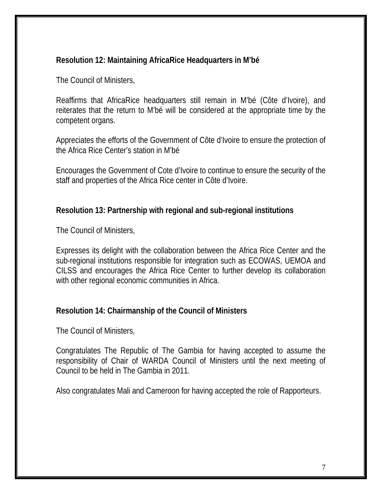#### **Resolution 12: Maintaining AfricaRice Headquarters in M'bé**

The Council of Ministers,

Reaffirms that AfricaRice headquarters still remain in M'bé (Côte d'Ivoire), and reiterates that the return to M'bé will be considered at the appropriate time by the competent organs.

Appreciates the efforts of the Government of Côte d'Ivoire to ensure the protection of the Africa Rice Center's station in M'bé

Encourages the Government of Cote d'Ivoire to continue to ensure the security of the staff and properties of the Africa Rice center in Côte d'Ivoire.

#### **Resolution 13: Partnership with regional and sub-regional institutions**

The Council of Ministers,

Expresses its delight with the collaboration between the Africa Rice Center and the sub-regional institutions responsible for integration such as ECOWAS, UEMOA and CILSS and encourages the Africa Rice Center to further develop its collaboration with other regional economic communities in Africa.

#### **Resolution 14: Chairmanship of the Council of Ministers**

The Council of Ministers,

Congratulates The Republic of The Gambia for having accepted to assume the responsibility of Chair of WARDA Council of Ministers until the next meeting of Council to be held in The Gambia in 2011.

Also congratulates Mali and Cameroon for having accepted the role of Rapporteurs.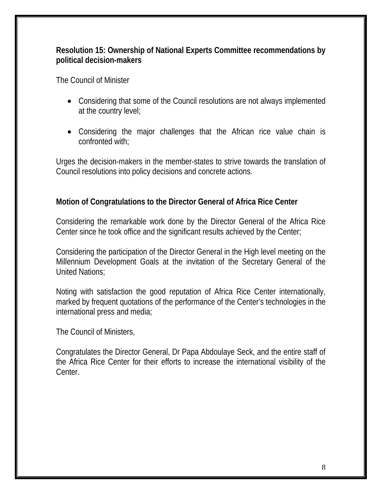#### **Resolution 15: Ownership of National Experts Committee recommendations by political decision-makers**

The Council of Minister

- Considering that some of the Council resolutions are not always implemented at the country level;
- Considering the major challenges that the African rice value chain is confronted with;

Urges the decision-makers in the member-states to strive towards the translation of Council resolutions into policy decisions and concrete actions.

# **Motion of Congratulations to the Director General of Africa Rice Center**

Considering the remarkable work done by the Director General of the Africa Rice Center since he took office and the significant results achieved by the Center;

Considering the participation of the Director General in the High level meeting on the Millennium Development Goals at the invitation of the Secretary General of the United Nations;

Noting with satisfaction the good reputation of Africa Rice Center internationally, marked by frequent quotations of the performance of the Center's technologies in the international press and media;

The Council of Ministers,

Congratulates the Director General, Dr Papa Abdoulaye Seck, and the entire staff of the Africa Rice Center for their efforts to increase the international visibility of the Center.